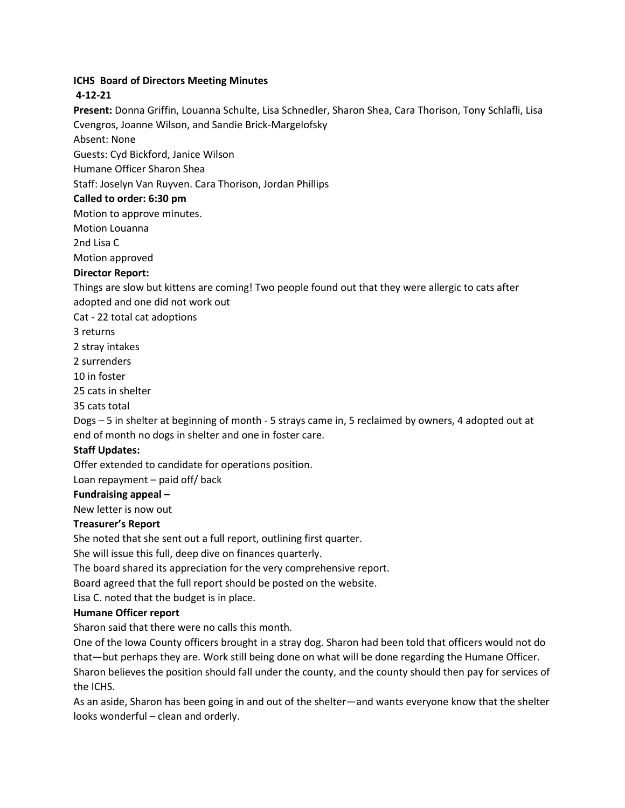# **ICHS Board of Directors Meeting Minutes**

# **4-12-21**

**Present:** Donna Griffin, Louanna Schulte, Lisa Schnedler, Sharon Shea, Cara Thorison, Tony Schlafli, Lisa Cvengros, Joanne Wilson, and Sandie Brick-Margelofsky

Absent: None

Guests: Cyd Bickford, Janice Wilson

Humane Officer Sharon Shea

Staff: Joselyn Van Ruyven. Cara Thorison, Jordan Phillips

## **Called to order: 6:30 pm**

Motion to approve minutes.

Motion Louanna

2nd Lisa C

Motion approved

## **Director Report:**

Things are slow but kittens are coming! Two people found out that they were allergic to cats after adopted and one did not work out

Cat - 22 total cat adoptions

3 returns

2 stray intakes

2 surrenders

10 in foster

25 cats in shelter

35 cats total

Dogs – 5 in shelter at beginning of month - 5 strays came in, 5 reclaimed by owners, 4 adopted out at end of month no dogs in shelter and one in foster care.

## **Staff Updates:**

Offer extended to candidate for operations position.

Loan repayment – paid off/ back

#### **Fundraising appeal –**

New letter is now out

#### **Treasurer's Report**

She noted that she sent out a full report, outlining first quarter.

She will issue this full, deep dive on finances quarterly.

The board shared its appreciation for the very comprehensive report.

Board agreed that the full report should be posted on the website.

Lisa C. noted that the budget is in place.

## **Humane Officer report**

Sharon said that there were no calls this month.

One of the Iowa County officers brought in a stray dog. Sharon had been told that officers would not do that—but perhaps they are. Work still being done on what will be done regarding the Humane Officer. Sharon believes the position should fall under the county, and the county should then pay for services of the ICHS.

As an aside, Sharon has been going in and out of the shelter—and wants everyone know that the shelter looks wonderful – clean and orderly.